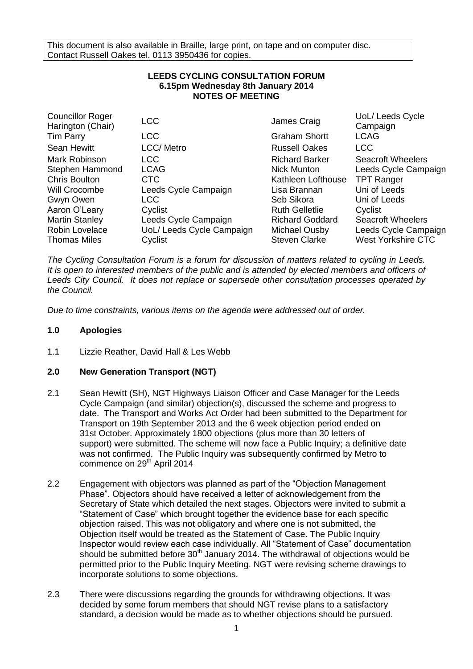This document is also available in Braille, large print, on tape and on computer disc. Contact Russell Oakes tel. 0113 3950436 for copies.

## **LEEDS CYCLING CONSULTATION FORUM 6.15pm Wednesday 8th January 2014 NOTES OF MEETING**

| <b>LCC</b>                | James Craig            | UoL/ Leeds Cycle<br>Campaign |
|---------------------------|------------------------|------------------------------|
| <b>LCC</b>                | <b>Graham Shortt</b>   | <b>LCAG</b>                  |
| <b>LCC/</b> Metro         | <b>Russell Oakes</b>   | <b>LCC</b>                   |
| LCC                       | <b>Richard Barker</b>  | <b>Seacroft Wheelers</b>     |
| <b>LCAG</b>               | <b>Nick Munton</b>     | Leeds Cycle Campaign         |
| <b>CTC</b>                | Kathleen Lofthouse     | <b>TPT Ranger</b>            |
| Leeds Cycle Campaign      | Lisa Brannan           | Uni of Leeds                 |
| LCC.                      | Seb Sikora             | Uni of Leeds                 |
| Cyclist                   | <b>Ruth Gelletlie</b>  | Cyclist                      |
| Leeds Cycle Campaign      | <b>Richard Goddard</b> | <b>Seacroft Wheelers</b>     |
| UoL/ Leeds Cycle Campaign | Michael Ousby          | Leeds Cycle Campaign         |
| Cyclist                   | <b>Steven Clarke</b>   | <b>West Yorkshire CTC</b>    |
|                           |                        |                              |

*The Cycling Consultation Forum is a forum for discussion of matters related to cycling in Leeds. It is open to interested members of the public and is attended by elected members and officers of Leeds City Council. It does not replace or supersede other consultation processes operated by the Council.*

*Due to time constraints, various items on the agenda were addressed out of order.*

## **1.0 Apologies**

1.1 Lizzie Reather, David Hall & Les Webb

# **2.0 New Generation Transport (NGT)**

- 2.1 Sean Hewitt (SH), NGT Highways Liaison Officer and Case Manager for the Leeds Cycle Campaign (and similar) objection(s), discussed the scheme and progress to date. The Transport and Works Act Order had been submitted to the Department for Transport on 19th September 2013 and the 6 week objection period ended on 31st October. Approximately 1800 objections (plus more than 30 letters of support) were submitted. The scheme will now face a Public Inquiry; a definitive date was not confirmed. The Public Inquiry was subsequently confirmed by Metro to commence on 29<sup>th</sup> April 2014
- 2.2 Engagement with objectors was planned as part of the "Objection Management Phase". Objectors should have received a letter of acknowledgement from the Secretary of State which detailed the next stages. Objectors were invited to submit a "Statement of Case" which brought together the evidence base for each specific objection raised. This was not obligatory and where one is not submitted, the Objection itself would be treated as the Statement of Case. The Public Inquiry Inspector would review each case individually. All "Statement of Case" documentation should be submitted before  $30<sup>th</sup>$  January 2014. The withdrawal of objections would be permitted prior to the Public Inquiry Meeting. NGT were revising scheme drawings to incorporate solutions to some objections.
- 2.3 There were discussions regarding the grounds for withdrawing objections. It was decided by some forum members that should NGT revise plans to a satisfactory standard, a decision would be made as to whether objections should be pursued.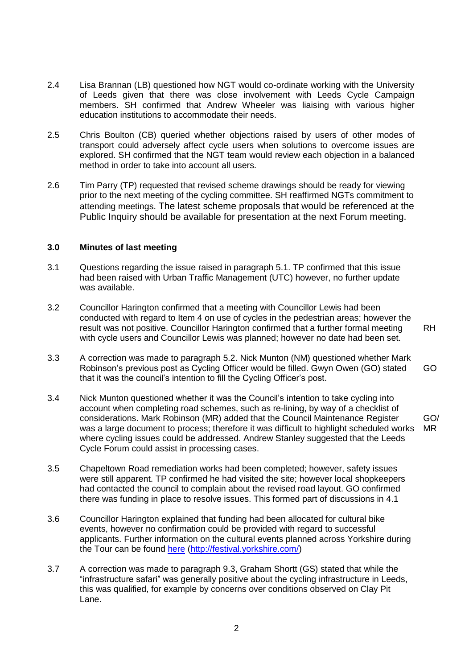- 2.4 Lisa Brannan (LB) questioned how NGT would co-ordinate working with the University of Leeds given that there was close involvement with Leeds Cycle Campaign members. SH confirmed that Andrew Wheeler was liaising with various higher education institutions to accommodate their needs.
- 2.5 Chris Boulton (CB) queried whether objections raised by users of other modes of transport could adversely affect cycle users when solutions to overcome issues are explored. SH confirmed that the NGT team would review each objection in a balanced method in order to take into account all users.
- 2.6 Tim Parry (TP) requested that revised scheme drawings should be ready for viewing prior to the next meeting of the cycling committee. SH reaffirmed NGTs commitment to attending meetings. The latest scheme proposals that would be referenced at the Public Inquiry should be available for presentation at the next Forum meeting.

#### **3.0 Minutes of last meeting**

- 3.1 Questions regarding the issue raised in paragraph 5.1. TP confirmed that this issue had been raised with Urban Traffic Management (UTC) however, no further update was available.
- 3.2 Councillor Harington confirmed that a meeting with Councillor Lewis had been conducted with regard to Item 4 on use of cycles in the pedestrian areas; however the result was not positive. Councillor Harington confirmed that a further formal meeting with cycle users and Councillor Lewis was planned; however no date had been set. RH
- 3.3 A correction was made to paragraph 5.2. Nick Munton (NM) questioned whether Mark Robinson's previous post as Cycling Officer would be filled. Gwyn Owen (GO) stated that it was the council's intention to fill the Cycling Officer's post. GO
- 3.4 Nick Munton questioned whether it was the Council's intention to take cycling into account when completing road schemes, such as re-lining, by way of a checklist of considerations. Mark Robinson (MR) added that the Council Maintenance Register was a large document to process; therefore it was difficult to highlight scheduled works where cycling issues could be addressed. Andrew Stanley suggested that the Leeds Cycle Forum could assist in processing cases. GO/ MR
- 3.5 Chapeltown Road remediation works had been completed; however, safety issues were still apparent. TP confirmed he had visited the site; however local shopkeepers had contacted the council to complain about the revised road layout. GO confirmed there was funding in place to resolve issues. This formed part of discussions in 4.1
- 3.6 Councillor Harington explained that funding had been allocated for cultural bike events, however no confirmation could be provided with regard to successful applicants. Further information on the cultural events planned across Yorkshire during the Tour can be found [here](http://letour.yorkshire.com/cultural-festival) [\(http://festival.yorkshire.com/\)](http://festival.yorkshire.com/)
- 3.7 A correction was made to paragraph 9.3, Graham Shortt (GS) stated that while the "infrastructure safari" was generally positive about the cycling infrastructure in Leeds, this was qualified, for example by concerns over conditions observed on Clay Pit Lane.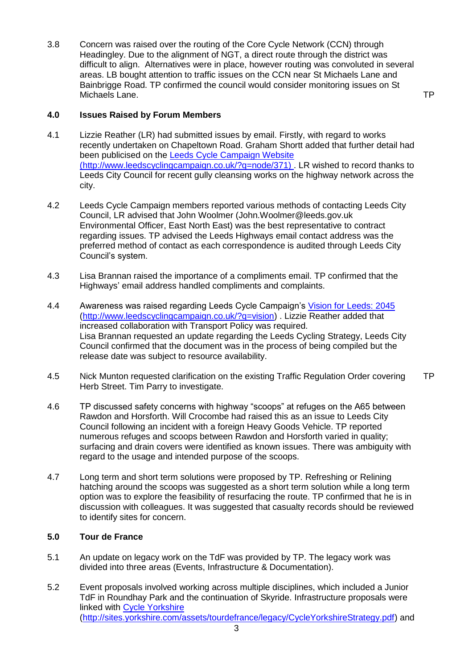3.8 Concern was raised over the routing of the Core Cycle Network (CCN) through Headingley. Due to the alignment of NGT, a direct route through the district was difficult to align. Alternatives were in place, however routing was convoluted in several areas. LB bought attention to traffic issues on the CCN near St Michaels Lane and Bainbrigge Road. TP confirmed the council would consider monitoring issues on St Michaels Lane.

TP

### **4.0 Issues Raised by Forum Members**

- 4.1 Lizzie Reather (LR) had submitted issues by email. Firstly, with regard to works recently undertaken on Chapeltown Road. Graham Shortt added that further detail had been publicised on the [Leeds Cycle Campaign Website](http://www.leedscyclingcampaign.co.uk/?q=node/371) [\(http://www.leedscyclingcampaign.co.uk/?q=node/371\)](http://www.leedscyclingcampaign.co.uk/?q=node/371) . LR wished to record thanks to Leeds City Council for recent gully cleansing works on the highway network across the city.
- 4.2 Leeds Cycle Campaign members reported various methods of contacting Leeds City Council, LR advised that John Woolmer [\(John.Woolmer@leeds.gov.uk](mailto:John.Woolmer@leeds.gov.uk) Environmental Officer, East North East) was the best representative to contract regarding issues. TP advised the Leeds Highways email contact address was the preferred method of contact as each correspondence is audited through Leeds City Council's system.
- 4.3 Lisa Brannan raised the importance of a compliments email. TP confirmed that the Highways' email address handled compliments and complaints.
- 4.4 Awareness was raised regarding Leeds Cycle Campaign's [Vision for Leeds: 2045](http://www.leedscyclingcampaign.co.uk/?q=vision) [\(http://www.leedscyclingcampaign.co.uk/?q=vision\)](http://www.leedscyclingcampaign.co.uk/?q=vision) . Lizzie Reather added that increased collaboration with Transport Policy was required. Lisa Brannan requested an update regarding the Leeds Cycling Strategy, Leeds City Council confirmed that the document was in the process of being compiled but the release date was subject to resource availability.
- 4.5 Nick Munton requested clarification on the existing Traffic Regulation Order covering Herb Street. Tim Parry to investigate. TP
- 4.6 TP discussed safety concerns with highway "scoops" at refuges on the A65 between Rawdon and Horsforth. Will Crocombe had raised this as an issue to Leeds City Council following an incident with a foreign Heavy Goods Vehicle. TP reported numerous refuges and scoops between Rawdon and Horsforth varied in quality; surfacing and drain covers were identified as known issues. There was ambiguity with regard to the usage and intended purpose of the scoops.
- 4.7 Long term and short term solutions were proposed by TP. Refreshing or Relining hatching around the scoops was suggested as a short term solution while a long term option was to explore the feasibility of resurfacing the route. TP confirmed that he is in discussion with colleagues. It was suggested that casualty records should be reviewed to identify sites for concern.

#### **5.0 Tour de France**

- 5.1 An update on legacy work on the TdF was provided by TP. The legacy work was divided into three areas (Events, Infrastructure & Documentation).
- 5.2 Event proposals involved working across multiple disciplines, which included a Junior TdF in Roundhay Park and the continuation of Skyride. Infrastructure proposals were linked with [Cycle Yorkshire](http://sites.yorkshire.com/assets/tourdefrance/legacy/CycleYorkshireStrategy.pdf) [\(http://sites.yorkshire.com/assets/tourdefrance/legacy/CycleYorkshireStrategy.pdf\)](http://sites.yorkshire.com/assets/tourdefrance/legacy/CycleYorkshireStrategy.pdf) and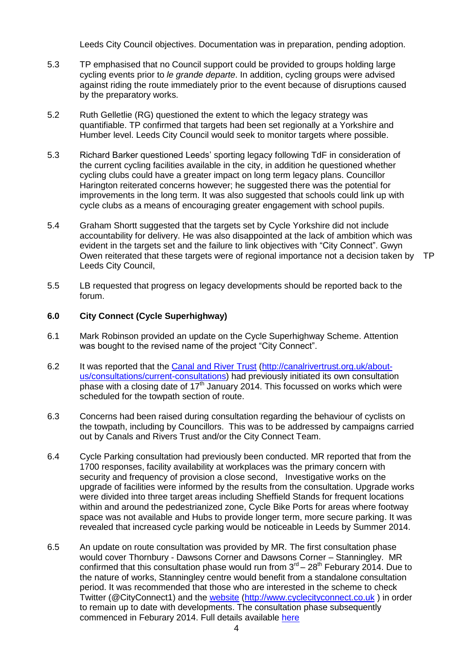Leeds City Council objectives. Documentation was in preparation, pending adoption.

- 5.3 TP emphasised that no Council support could be provided to groups holding large cycling events prior to *le grande departe*. In addition, cycling groups were advised against riding the route immediately prior to the event because of disruptions caused by the preparatory works.
- 5.2 Ruth Gelletlie (RG) questioned the extent to which the legacy strategy was quantifiable. TP confirmed that targets had been set regionally at a Yorkshire and Humber level. Leeds City Council would seek to monitor targets where possible.
- 5.3 Richard Barker questioned Leeds' sporting legacy following TdF in consideration of the current cycling facilities available in the city, in addition he questioned whether cycling clubs could have a greater impact on long term legacy plans. Councillor Harington reiterated concerns however; he suggested there was the potential for improvements in the long term. It was also suggested that schools could link up with cycle clubs as a means of encouraging greater engagement with school pupils.
- 5.4 Graham Shortt suggested that the targets set by Cycle Yorkshire did not include accountability for delivery. He was also disappointed at the lack of ambition which was evident in the targets set and the failure to link objectives with "City Connect". Gwyn Owen reiterated that these targets were of regional importance not a decision taken by TPLeeds City Council,
- 5.5 LB requested that progress on legacy developments should be reported back to the forum.

#### **6.0 City Connect (Cycle Superhighway)**

- 6.1 Mark Robinson provided an update on the Cycle Superhighway Scheme. Attention was bought to the revised name of the project "City Connect".
- 6.2 It was reported that the [Canal and River Trust](http://canalrivertrust.org.uk/about-us/consultations/current-consultations) [\(http://canalrivertrust.org.uk/about](http://canalrivertrust.org.uk/about-us/consultations/current-consultations)[us/consultations/current-consultations\)](http://canalrivertrust.org.uk/about-us/consultations/current-consultations) had previously initiated its own consultation phase with a closing date of 17<sup>th</sup> January 2014. This focussed on works which were scheduled for the towpath section of route.
- 6.3 Concerns had been raised during consultation regarding the behaviour of cyclists on the towpath, including by Councillors. This was to be addressed by campaigns carried out by Canals and Rivers Trust and/or the City Connect Team.
- 6.4 Cycle Parking consultation had previously been conducted. MR reported that from the 1700 responses, facility availability at workplaces was the primary concern with security and frequency of provision a close second, Investigative works on the upgrade of facilities were informed by the results from the consultation. Upgrade works were divided into three target areas including Sheffield Stands for frequent locations within and around the pedestrianized zone, Cycle Bike Ports for areas where footway space was not available and Hubs to provide longer term, more secure parking. It was revealed that increased cycle parking would be noticeable in Leeds by Summer 2014.
- 6.5 An update on route consultation was provided by MR. The first consultation phase would cover Thornbury - Dawsons Corner and Dawsons Corner – Stanningley. MR confirmed that this consultation phase would run from  $3<sup>rd</sup> - 28<sup>th</sup>$  Feburary 2014. Due to the nature of works, Stanningley centre would benefit from a standalone consultation period. It was recommended that those who are interested in the scheme to check Twitter (@CityConnect1) and the [website](http://www.cyclecityconnect.co.uk/index.php) [\(http://www.cyclecityconnect.co.uk](http://www.cyclecityconnect.co.uk/) ) in order to remain up to date with developments. The consultation phase subsequently commenced in Feburary 2014. Full details available [here](http://www.cyclecityconnect.co.uk/participate.php)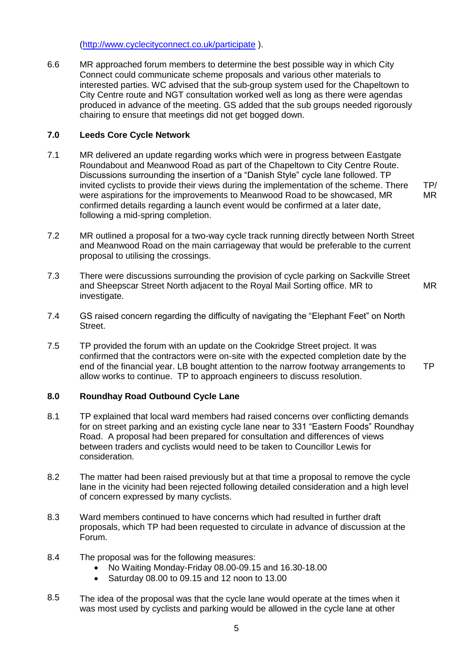[\(http://www.cyclecityconnect.co.uk/participate](http://www.cyclecityconnect.co.uk/participate) ).

6.6 MR approached forum members to determine the best possible way in which City Connect could communicate scheme proposals and various other materials to interested parties. WC advised that the sub-group system used for the Chapeltown to City Centre route and NGT consultation worked well as long as there were agendas produced in advance of the meeting. GS added that the sub groups needed rigorously chairing to ensure that meetings did not get bogged down.

## **7.0 Leeds Core Cycle Network**

- 7.1 MR delivered an update regarding works which were in progress between Eastgate Roundabout and Meanwood Road as part of the Chapeltown to City Centre Route. Discussions surrounding the insertion of a "Danish Style" cycle lane followed. TP invited cyclists to provide their views during the implementation of the scheme. There were aspirations for the improvements to Meanwood Road to be showcased, MR confirmed details regarding a launch event would be confirmed at a later date, following a mid-spring completion. TP/ MR
- 7.2 MR outlined a proposal for a two-way cycle track running directly between North Street and Meanwood Road on the main carriageway that would be preferable to the current proposal to utilising the crossings.
- 7.3 There were discussions surrounding the provision of cycle parking on Sackville Street and Sheepscar Street North adjacent to the Royal Mail Sorting office. MR to investigate. MR
- 7.4 GS raised concern regarding the difficulty of navigating the "Elephant Feet" on North Street.
- 7.5 TP provided the forum with an update on the Cookridge Street project. It was confirmed that the contractors were on-site with the expected completion date by the end of the financial year. LB bought attention to the narrow footway arrangements to allow works to continue. TP to approach engineers to discuss resolution. TP

## **8.0 Roundhay Road Outbound Cycle Lane**

- 8.1 TP explained that local ward members had raised concerns over conflicting demands for on street parking and an existing cycle lane near to 331 "Eastern Foods" Roundhay Road. A proposal had been prepared for consultation and differences of views between traders and cyclists would need to be taken to Councillor Lewis for consideration.
- 8.2 The matter had been raised previously but at that time a proposal to remove the cycle lane in the vicinity had been rejected following detailed consideration and a high level of concern expressed by many cyclists.
- 8.3 Ward members continued to have concerns which had resulted in further draft proposals, which TP had been requested to circulate in advance of discussion at the Forum.
- 8.4 The proposal was for the following measures:
	- No Waiting Monday-Friday 08.00-09.15 and 16.30-18.00
	- Saturday 08.00 to 09.15 and 12 noon to 13.00
- 8.5 The idea of the proposal was that the cycle lane would operate at the times when it was most used by cyclists and parking would be allowed in the cycle lane at other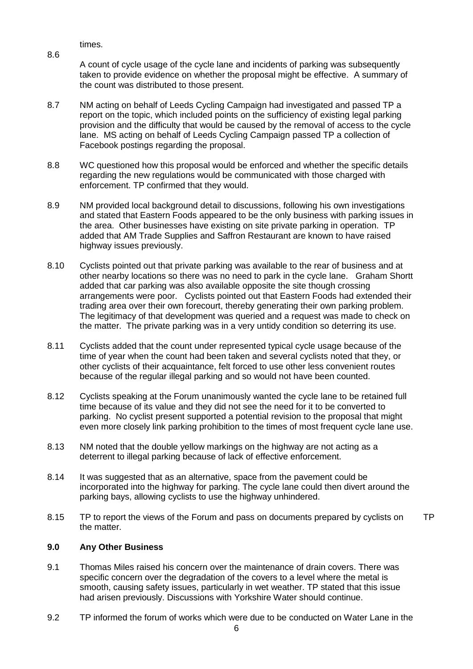times.

8.6

A count of cycle usage of the cycle lane and incidents of parking was subsequently taken to provide evidence on whether the proposal might be effective. A summary of the count was distributed to those present.

- 8.7 NM acting on behalf of Leeds Cycling Campaign had investigated and passed TP a report on the topic, which included points on the sufficiency of existing legal parking provision and the difficulty that would be caused by the removal of access to the cycle lane. MS acting on behalf of Leeds Cycling Campaign passed TP a collection of Facebook postings regarding the proposal.
- 8.8 WC questioned how this proposal would be enforced and whether the specific details regarding the new regulations would be communicated with those charged with enforcement. TP confirmed that they would.
- 8.9 NM provided local background detail to discussions, following his own investigations and stated that Eastern Foods appeared to be the only business with parking issues in the area. Other businesses have existing on site private parking in operation. TP added that AM Trade Supplies and Saffron Restaurant are known to have raised highway issues previously.
- 8.10 Cyclists pointed out that private parking was available to the rear of business and at other nearby locations so there was no need to park in the cycle lane. Graham Shortt added that car parking was also available opposite the site though crossing arrangements were poor. Cyclists pointed out that Eastern Foods had extended their trading area over their own forecourt, thereby generating their own parking problem. The legitimacy of that development was queried and a request was made to check on the matter. The private parking was in a very untidy condition so deterring its use.
- 8.11 Cyclists added that the count under represented typical cycle usage because of the time of year when the count had been taken and several cyclists noted that they, or other cyclists of their acquaintance, felt forced to use other less convenient routes because of the regular illegal parking and so would not have been counted.
- 8.12 Cyclists speaking at the Forum unanimously wanted the cycle lane to be retained full time because of its value and they did not see the need for it to be converted to parking. No cyclist present supported a potential revision to the proposal that might even more closely link parking prohibition to the times of most frequent cycle lane use.
- 8.13 NM noted that the double yellow markings on the highway are not acting as a deterrent to illegal parking because of lack of effective enforcement.
- 8.14 It was suggested that as an alternative, space from the pavement could be incorporated into the highway for parking. The cycle lane could then divert around the parking bays, allowing cyclists to use the highway unhindered.
- 8.15 TP to report the views of the Forum and pass on documents prepared by cyclists on the matter. TP

## **9.0 Any Other Business**

- 9.1 Thomas Miles raised his concern over the maintenance of drain covers. There was specific concern over the degradation of the covers to a level where the metal is smooth, causing safety issues, particularly in wet weather. TP stated that this issue had arisen previously. Discussions with Yorkshire Water should continue.
- 9.2 TP informed the forum of works which were due to be conducted on Water Lane in the